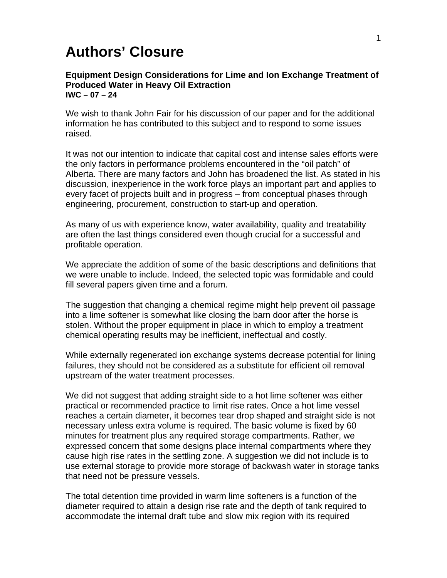## **Authors' Closure**

## **Equipment Design Considerations for Lime and Ion Exchange Treatment of Produced Water in Heavy Oil Extraction IWC – 07 – 24**

We wish to thank John Fair for his discussion of our paper and for the additional information he has contributed to this subject and to respond to some issues raised.

It was not our intention to indicate that capital cost and intense sales efforts were the only factors in performance problems encountered in the "oil patch" of Alberta. There are many factors and John has broadened the list. As stated in his discussion, inexperience in the work force plays an important part and applies to every facet of projects built and in progress – from conceptual phases through engineering, procurement, construction to start-up and operation.

As many of us with experience know, water availability, quality and treatability are often the last things considered even though crucial for a successful and profitable operation.

We appreciate the addition of some of the basic descriptions and definitions that we were unable to include. Indeed, the selected topic was formidable and could fill several papers given time and a forum.

The suggestion that changing a chemical regime might help prevent oil passage into a lime softener is somewhat like closing the barn door after the horse is stolen. Without the proper equipment in place in which to employ a treatment chemical operating results may be inefficient, ineffectual and costly.

While externally regenerated ion exchange systems decrease potential for lining failures, they should not be considered as a substitute for efficient oil removal upstream of the water treatment processes.

We did not suggest that adding straight side to a hot lime softener was either practical or recommended practice to limit rise rates. Once a hot lime vessel reaches a certain diameter, it becomes tear drop shaped and straight side is not necessary unless extra volume is required. The basic volume is fixed by 60 minutes for treatment plus any required storage compartments. Rather, we expressed concern that some designs place internal compartments where they cause high rise rates in the settling zone. A suggestion we did not include is to use external storage to provide more storage of backwash water in storage tanks that need not be pressure vessels.

The total detention time provided in warm lime softeners is a function of the diameter required to attain a design rise rate and the depth of tank required to accommodate the internal draft tube and slow mix region with its required